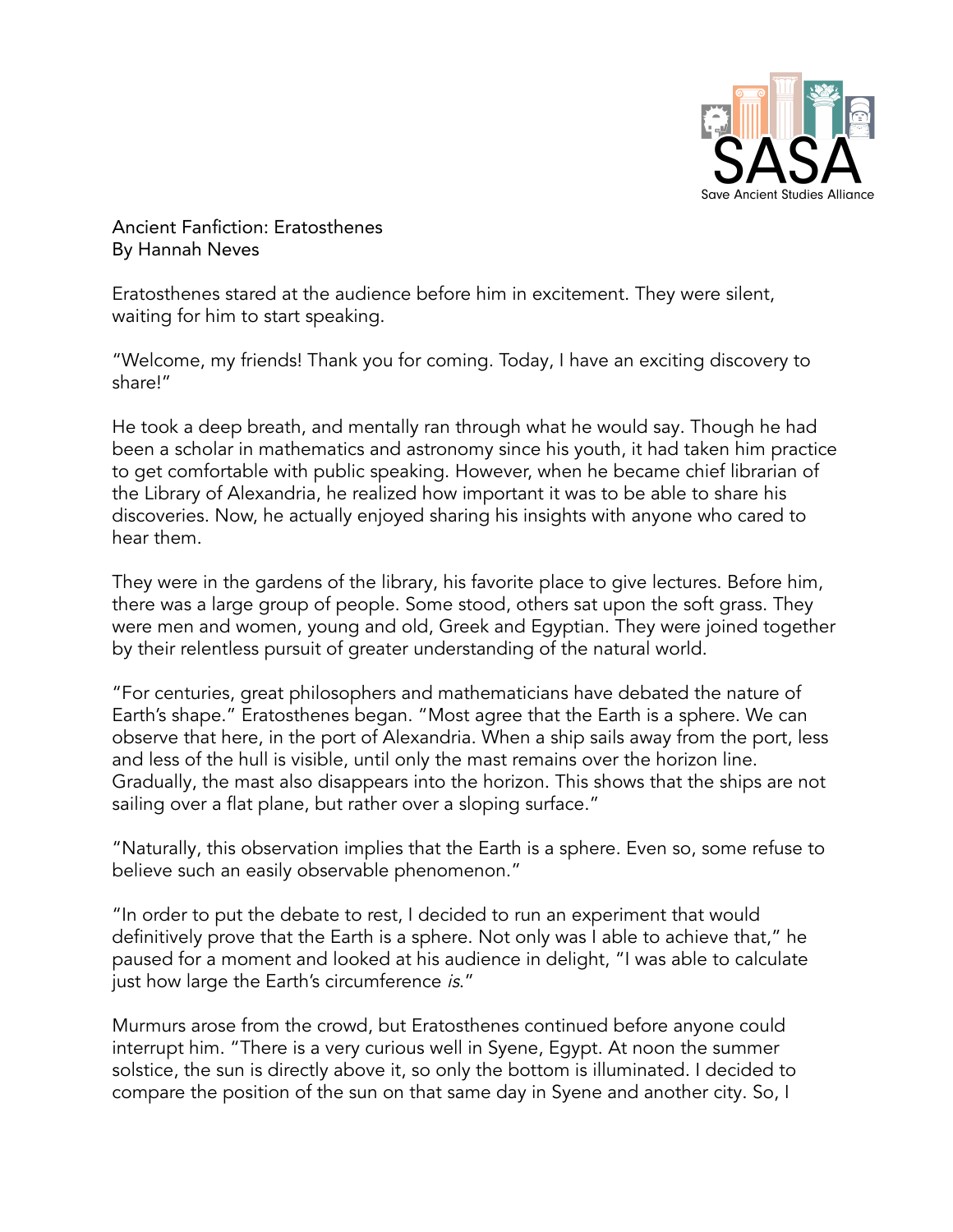

Ancient Fanfiction: Eratosthenes By Hannah Neves

Eratosthenes stared at the audience before him in excitement. They were silent, waiting for him to start speaking.

"Welcome, my friends! Thank you for coming. Today, I have an exciting discovery to share!"

He took a deep breath, and mentally ran through what he would say. Though he had been a scholar in mathematics and astronomy since his youth, it had taken him practice to get comfortable with public speaking. However, when he became chief librarian of the Library of Alexandria, he realized how important it was to be able to share his discoveries. Now, he actually enjoyed sharing his insights with anyone who cared to hear them.

They were in the gardens of the library, his favorite place to give lectures. Before him, there was a large group of people. Some stood, others sat upon the soft grass. They were men and women, young and old, Greek and Egyptian. They were joined together by their relentless pursuit of greater understanding of the natural world.

"For centuries, great philosophers and mathematicians have debated the nature of Earth's shape." Eratosthenes began. "Most agree that the Earth is a sphere. We can observe that here, in the port of Alexandria. When a ship sails away from the port, less and less of the hull is visible, until only the mast remains over the horizon line. Gradually, the mast also disappears into the horizon. This shows that the ships are not sailing over a flat plane, but rather over a sloping surface."

"Naturally, this observation implies that the Earth is a sphere. Even so, some refuse to believe such an easily observable phenomenon."

"In order to put the debate to rest, I decided to run an experiment that would definitively prove that the Earth is a sphere. Not only was I able to achieve that," he paused for a moment and looked at his audience in delight, "I was able to calculate just how large the Earth's circumference is."

Murmurs arose from the crowd, but Eratosthenes continued before anyone could interrupt him. "There is a very curious well in Syene, Egypt. At noon the summer solstice, the sun is directly above it, so only the bottom is illuminated. I decided to compare the position of the sun on that same day in Syene and another city. So, I